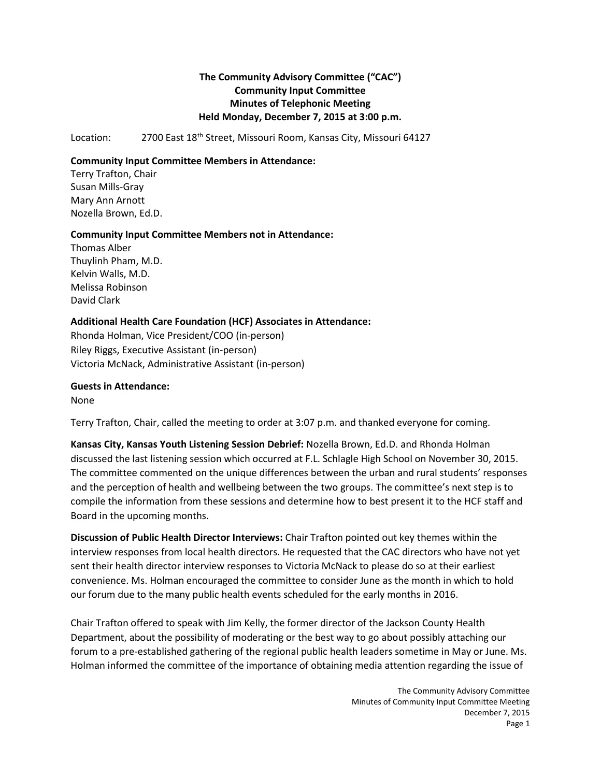# **The Community Advisory Committee ("CAC") Community Input Committee Minutes of Telephonic Meeting Held Monday, December 7, 2015 at 3:00 p.m.**

Location: 2700 East 18<sup>th</sup> Street, Missouri Room, Kansas City, Missouri 64127

#### **Community Input Committee Members in Attendance:**

Terry Trafton, Chair Susan Mills-Gray Mary Ann Arnott Nozella Brown, Ed.D.

### **Community Input Committee Members not in Attendance:**

Thomas Alber Thuylinh Pham, M.D. Kelvin Walls, M.D. Melissa Robinson David Clark

## **Additional Health Care Foundation (HCF) Associates in Attendance:**

Rhonda Holman, Vice President/COO (in-person) Riley Riggs, Executive Assistant (in-person) Victoria McNack, Administrative Assistant (in-person)

### **Guests in Attendance:**

None

Terry Trafton, Chair, called the meeting to order at 3:07 p.m. and thanked everyone for coming.

**Kansas City, Kansas Youth Listening Session Debrief:** Nozella Brown, Ed.D. and Rhonda Holman discussed the last listening session which occurred at F.L. Schlagle High School on November 30, 2015. The committee commented on the unique differences between the urban and rural students' responses and the perception of health and wellbeing between the two groups. The committee's next step is to compile the information from these sessions and determine how to best present it to the HCF staff and Board in the upcoming months.

**Discussion of Public Health Director Interviews:** Chair Trafton pointed out key themes within the interview responses from local health directors. He requested that the CAC directors who have not yet sent their health director interview responses to Victoria McNack to please do so at their earliest convenience. Ms. Holman encouraged the committee to consider June as the month in which to hold our forum due to the many public health events scheduled for the early months in 2016.

Chair Trafton offered to speak with Jim Kelly, the former director of the Jackson County Health Department, about the possibility of moderating or the best way to go about possibly attaching our forum to a pre-established gathering of the regional public health leaders sometime in May or June. Ms. Holman informed the committee of the importance of obtaining media attention regarding the issue of

> The Community Advisory Committee Minutes of Community Input Committee Meeting December 7, 2015 Page 1